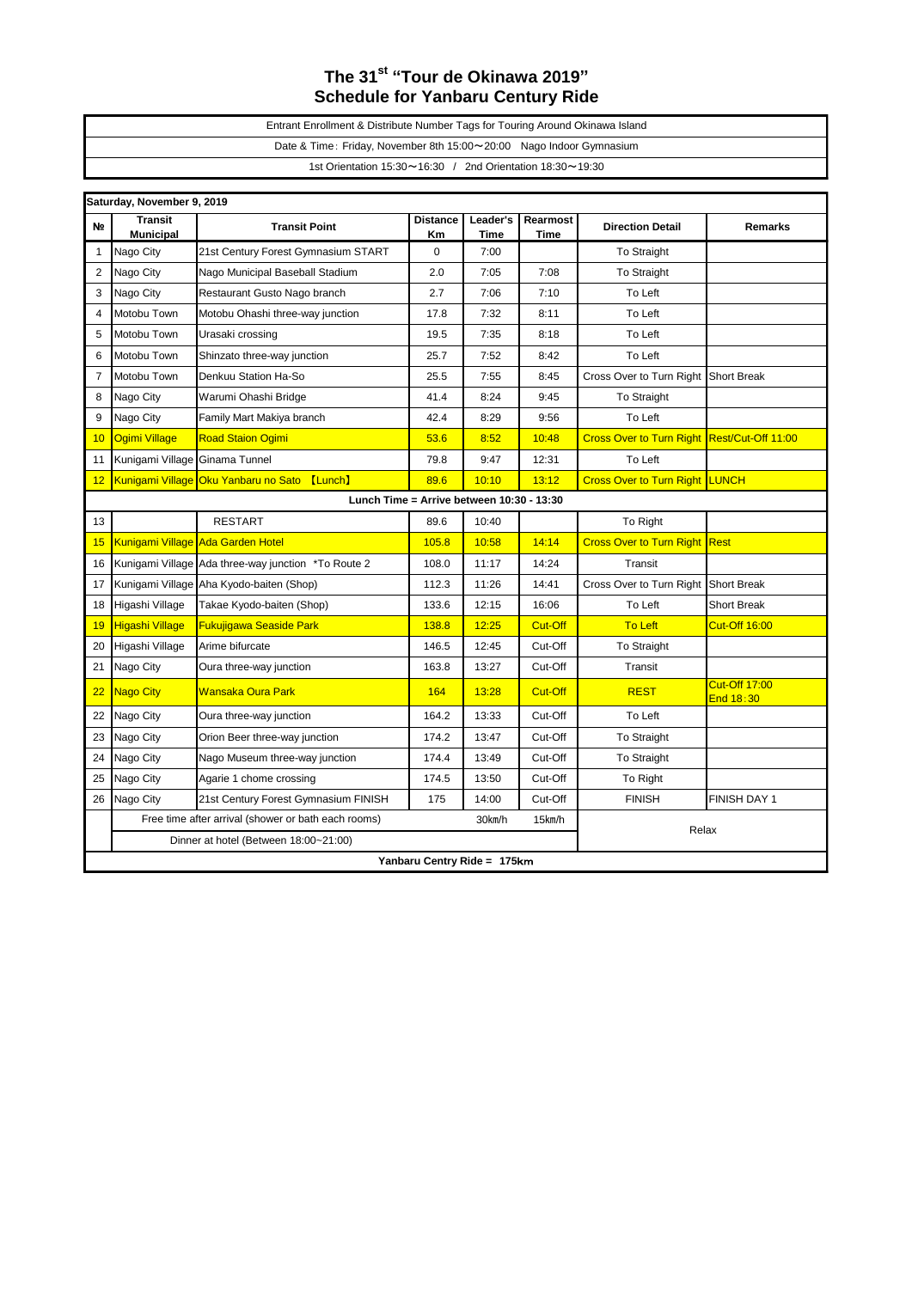## **The 31st "Tour de Okinawa 2019" Schedule for Yanbaru Century Ride**

| Entrant Enrollment & Distribute Number Tags for Touring Around Okinawa Island |  |  |  |  |  |
|-------------------------------------------------------------------------------|--|--|--|--|--|
| Date & Time: Friday, November 8th 15:00~20:00 Nago Indoor Gymnasium           |  |  |  |  |  |
| 1st Orientation $15:30 \sim 16:30$ / 2nd Orientation $18:30 \sim 19:30$       |  |  |  |  |  |

| Saturday, November 9, 2019 |                                                                         |                                                     |                       |                  |                  |                                             |                                   |  |  |
|----------------------------|-------------------------------------------------------------------------|-----------------------------------------------------|-----------------------|------------------|------------------|---------------------------------------------|-----------------------------------|--|--|
| N <sub>2</sub>             | <b>Transit</b><br><b>Municipal</b>                                      | <b>Transit Point</b>                                | <b>Distance</b><br>Кm | Leader's<br>Time | Rearmost<br>Time | <b>Direction Detail</b>                     | <b>Remarks</b>                    |  |  |
| $\mathbf 1$                | Nago City                                                               | 21st Century Forest Gymnasium START                 | 0                     | 7:00             |                  | To Straight                                 |                                   |  |  |
| $\overline{2}$             | Nago City                                                               | Nago Municipal Baseball Stadium                     | 2.0                   | 7:05             | 7:08             | <b>To Straight</b>                          |                                   |  |  |
| 3                          | Nago City                                                               | Restaurant Gusto Nago branch                        | 2.7                   | 7:06             | 7:10             | To Left                                     |                                   |  |  |
| $\overline{\mathbf{4}}$    | Motobu Town                                                             | Motobu Ohashi three-way junction                    | 17.8                  | 7:32             | 8:11             | To Left                                     |                                   |  |  |
| 5                          | Motobu Town                                                             | Urasaki crossing                                    | 19.5                  | 7:35             | 8:18             | To Left                                     |                                   |  |  |
| 6                          | Motobu Town                                                             | Shinzato three-way junction                         | 25.7                  | 7:52             | 8:42             | To Left                                     |                                   |  |  |
| $\overline{7}$             | Motobu Town                                                             | Denkuu Station Ha-So                                | 25.5                  | 7:55             | 8:45             | Cross Over to Turn Right Short Break        |                                   |  |  |
| 8                          | Nago City                                                               | Warumi Ohashi Bridge                                | 41.4                  | 8:24             | 9:45             | To Straight                                 |                                   |  |  |
| 9                          | Nago City                                                               | Family Mart Makiya branch                           | 42.4                  | 8:29             | 9:56             | To Left                                     |                                   |  |  |
| 10                         | <b>Ogimi Village</b>                                                    | <b>Road Staion Ogimi</b>                            | 53.6                  | 8:52             | 10:48            | Cross Over to Turn Right Rest/Cut-Off 11:00 |                                   |  |  |
| 11                         | Kunigami Village Ginama Tunnel                                          |                                                     | 79.8                  | 9:47             | 12:31            | To Left                                     |                                   |  |  |
| 12                         |                                                                         | Kunigami Village Oku Yanbaru no Sato<br>[Lunch]     | 89.6                  | 10:10            | 13:12            | <b>Cross Over to Turn Right LUNCH</b>       |                                   |  |  |
|                            | Lunch Time = Arrive between 10:30 - 13:30                               |                                                     |                       |                  |                  |                                             |                                   |  |  |
| 13                         |                                                                         | <b>RESTART</b>                                      | 89.6                  | 10:40            |                  | To Right                                    |                                   |  |  |
| 15                         |                                                                         | <b>Kunigami Village Ada Garden Hotel</b>            | 105.8                 | 10:58            | 14:14            | <b>Cross Over to Turn Right</b>             | Rest                              |  |  |
| 16                         |                                                                         | Kunigami Village Ada three-way junction *To Route 2 | 108.0                 | 11:17            | 14:24            | Transit                                     |                                   |  |  |
| 17                         |                                                                         | Kunigami Village Aha Kyodo-baiten (Shop)            | 112.3                 | 11:26            | 14:41            | Cross Over to Turn Right Short Break        |                                   |  |  |
| 18                         | Higashi Village                                                         | Takae Kyodo-baiten (Shop)                           | 133.6                 | 12:15            | 16:06            | To Left                                     | <b>Short Break</b>                |  |  |
| 19                         | <b>Higashi Village</b>                                                  | <b>Fukujigawa Seaside Park</b>                      | 138.8                 | 12:25            | <b>Cut-Off</b>   | <b>To Left</b>                              | <b>Cut-Off 16:00</b>              |  |  |
| 20                         | Higashi Village                                                         | Arime bifurcate                                     | 146.5                 | 12:45            | Cut-Off          | <b>To Straight</b>                          |                                   |  |  |
| 21                         | Nago City                                                               | Oura three-way junction                             | 163.8                 | 13:27            | Cut-Off          | Transit                                     |                                   |  |  |
| 22                         | Nago City                                                               | <b>Wansaka Oura Park</b>                            | 164                   | 13:28            | <b>Cut-Off</b>   | <b>REST</b>                                 | <b>Cut-Off 17:00</b><br>End 18:30 |  |  |
| 22                         | Nago City                                                               | Oura three-way junction                             | 164.2                 | 13:33            | Cut-Off          | To Left                                     |                                   |  |  |
| 23                         | Nago City                                                               | Orion Beer three-way junction                       | 174.2                 | 13:47            | Cut-Off          | To Straight                                 |                                   |  |  |
| 24                         | Nago City                                                               | Nago Museum three-way junction                      | 174.4                 | 13:49            | Cut-Off          | To Straight                                 |                                   |  |  |
| 25                         | Nago City                                                               | Agarie 1 chome crossing                             | 174.5                 | 13:50            | Cut-Off          | To Right                                    |                                   |  |  |
| 26                         | Nago City                                                               | 21st Century Forest Gymnasium FINISH                | 175                   | 14:00            | Cut-Off          | <b>FINISH</b>                               | FINISH DAY 1                      |  |  |
|                            | Free time after arrival (shower or bath each rooms)<br>30km/h<br>15km/h |                                                     |                       |                  | Relax            |                                             |                                   |  |  |
|                            | Dinner at hotel (Between 18:00~21:00)                                   |                                                     |                       |                  |                  |                                             |                                   |  |  |
|                            | Yanbaru Centry Ride = 175km                                             |                                                     |                       |                  |                  |                                             |                                   |  |  |